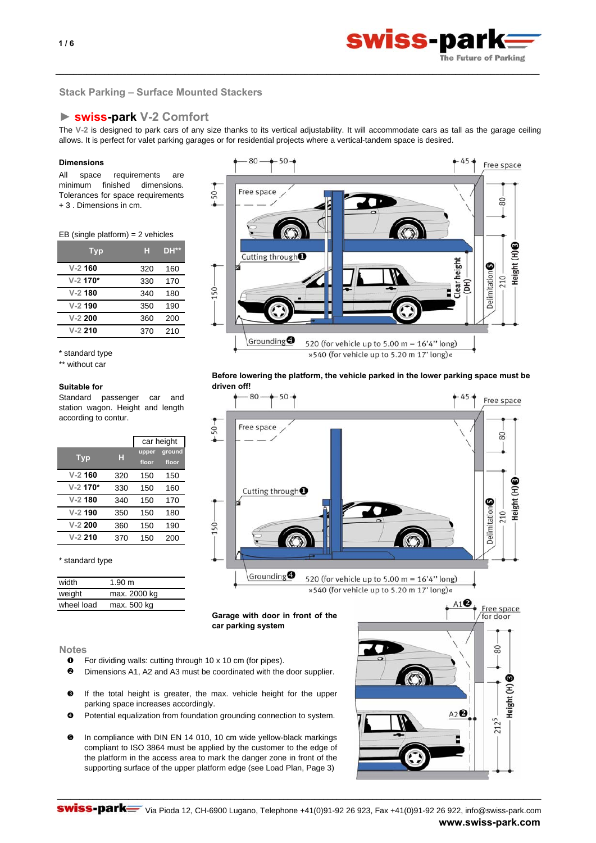

# **Stack Parking – Surface Mounted Stackers**

# **► swiss-park V-2 Comfort**

The **V-2** is designed to park cars of any size thanks to its vertical adjustability. It will accommodate cars as tall as the garage ceiling allows. It is perfect for valet parking garages or for residential projects where a vertical-tandem space is desired.

\_\_\_\_\_\_\_\_\_\_\_\_\_\_\_\_\_\_\_\_\_\_\_\_\_\_\_\_\_\_\_\_\_\_\_\_\_\_\_\_\_\_\_\_\_\_\_\_\_\_\_\_\_\_\_\_\_\_\_\_\_\_\_\_\_\_\_\_\_\_\_\_\_\_\_\_\_\_\_\_\_\_\_\_\_\_\_\_\_\_\_\_\_\_\_\_\_\_\_\_\_\_\_\_\_\_\_\_\_

## **Dimensions**

All space requirements are minimum finished dimensions. Tolerances for space requirements + 3 . Dimensions in cm.

## EB (single platform) = 2 vehicles

| Typ        | н   | DH** |
|------------|-----|------|
| $V-2$ 160  | 320 | 160  |
| $V-2$ 170* | 330 | 170  |
| $V-2$ 180  | 340 | 180  |
| $V-2$ 190  | 350 | 190  |
| $V-2$ 200  | 360 | 200  |
| $V-2$ 210  | 370 | 210  |

\* standard type

\*\* without car

#### **Suitable for**

Standard passenger car and station wagon. Height and length according to contur.

|            |     | car height |        |
|------------|-----|------------|--------|
|            |     | upper      | ground |
| <b>Typ</b> | н   | floor      | floor  |
| $V-2$ 160  | 320 | 150        | 150    |
| $V-2$ 170* | 330 | 150        | 160    |
| $V-2$ 180  | 340 | 150        | 170    |
| $V-2$ 190  | 350 | 150        | 180    |
| $V-2$ 200  | 360 | 150        | 190    |
| $V-2$ 210  | 370 | 150        | 200    |

#### \* standard type

| width      | 1.90 m       |
|------------|--------------|
| weight     | max. 2000 kg |
| wheel load | max. 500 kg  |



**Before lowering the platform, the vehicle parked in the lower parking space must be driven off!**



**Garage with door in front of the car parking system**



# **Notes**

- **O** For dividing walls: cutting through 10 x 10 cm (for pipes).
- o Dimensions A1, A2 and A3 must be coordinated with the door supplier.
- $\boldsymbol{\Omega}$ If the total height is greater, the max. vehicle height for the upper parking space increases accordingly.
- $\boldsymbol{c}$ Potential equalization from foundation grounding connection to system.
- $\mathbf{\Theta}$ In compliance with DIN EN 14 010, 10 cm wide yellow-black markings compliant to ISO 3864 must be applied by the customer to the edge of the platform in the access area to mark the danger zone in front of the supporting surface of the upper platform edge (see Load Plan, Page 3)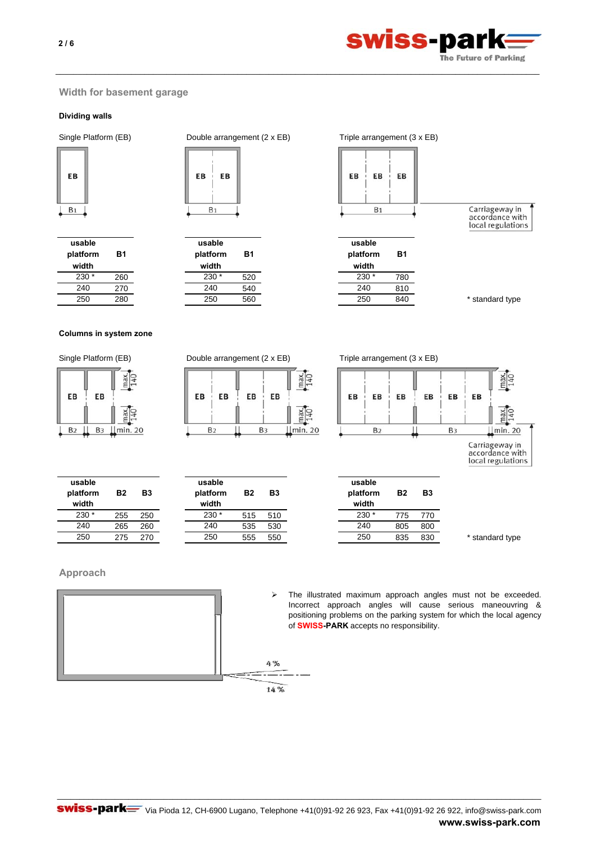

# **Width for basement garage**

# **Dividing walls**



| usable<br>platform<br>width | Β1  |
|-----------------------------|-----|
| 230                         | 260 |
| 240                         | 270 |
| 250                         | 280 |



\_\_\_\_\_\_\_\_\_\_\_\_\_\_\_\_\_\_\_\_\_\_\_\_\_\_\_\_\_\_\_\_\_\_\_\_\_\_\_\_\_\_\_\_\_\_\_\_\_\_\_\_\_\_\_\_\_\_\_\_\_\_\_\_\_\_\_\_\_\_\_\_\_\_\_\_\_\_\_\_\_\_\_\_\_\_\_\_\_\_\_\_\_\_\_\_\_\_\_\_\_\_\_\_\_\_\_\_\_

| usable<br>platform | В1  | usab<br>platfo |
|--------------------|-----|----------------|
| width              |     | widt           |
| $230*$             | 520 | 230            |
| 240                | 540 | 240            |
| 250                | 560 | 250            |
|                    |     |                |

 $B<sub>1</sub>$ 

**usable platform width**

230 \*

240 250



**Columns in system zone**

| EB             | EВ             | Ě       |
|----------------|----------------|---------|
|                |                |         |
| B <sub>2</sub> | B <sub>3</sub> | min. 20 |

Single Platform (EB) Double arrangement (2 x EB) Triple arrangement (3 x EB)

| EВ<br>EВ       | EB<br>EВ       |              |
|----------------|----------------|--------------|
| B <sub>2</sub> | B <sub>3</sub> | അ<br>min. 20 |

**B2**

**B3**

**usable platform width**



local regulations

255 250 515 510 775 770 265 260 535 530 805 800 275 270 555 550 835 830 \* standard type **B2 B3 usable platform width** 230 \* 240 250

# **Approach**





The illustrated maximum approach angles must not be exceeded. Incorrect approach angles will cause serious maneouvring & positioning problems on the parking system for which the local agency of **SWISS-PARK** accepts no responsibility.

**B2 B3**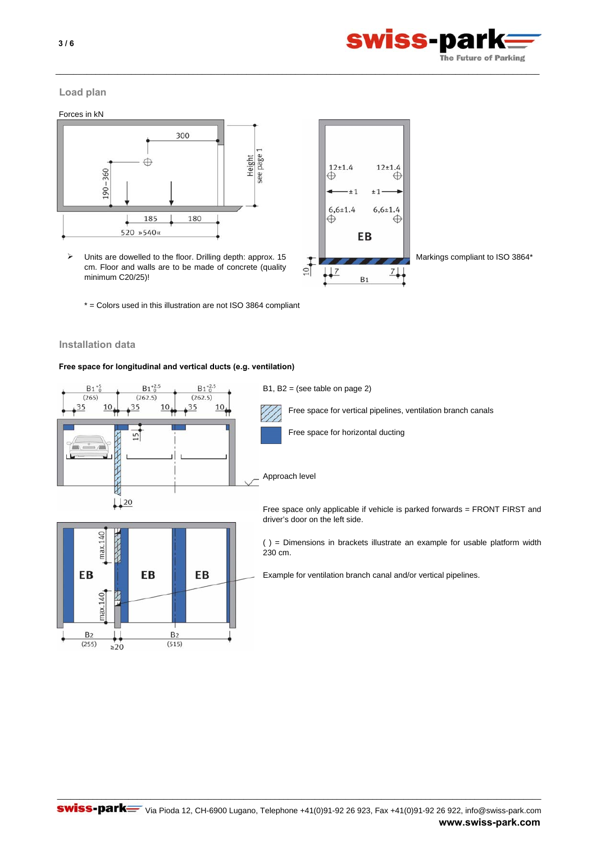

 $12 + 1.4$ 

 $6,6{\pm}1.4$ 

 $±1$ 

EB

 $B<sub>1</sub>$ 

€

 $\oplus$ 

 $711$ 

 $\overset{12\pm 1.4}{\oplus}$ 

 $6,6{\pm}1.4$ 

 $\oplus$ 

 $\frac{1}{2}$ 

 $±1$ 

# **Load plan**

Forces in kN



- ¾ Markings compliant to ISO 3864\* Units are dowelled to the floor. Drilling depth: approx. 15 cm. Floor and walls are to be made of concrete (quality minimum C20/25)!
	- \* = Colors used in this illustration are not ISO 3864 compliant

# **Installation data**

# **Free space for longitudinal and vertical ducts (e.g. ventilation)**



\_\_\_\_\_\_\_\_\_\_\_\_\_\_\_\_\_\_\_\_\_\_\_\_\_\_\_\_\_\_\_\_\_\_\_\_\_\_\_\_\_\_\_\_\_\_\_\_\_\_\_\_\_\_\_\_\_\_\_\_\_\_\_\_\_\_\_\_\_\_\_\_\_\_\_\_\_\_\_\_\_\_\_\_\_\_\_\_\_\_\_\_\_\_\_\_\_\_\_\_\_\_\_\_\_\_\_\_\_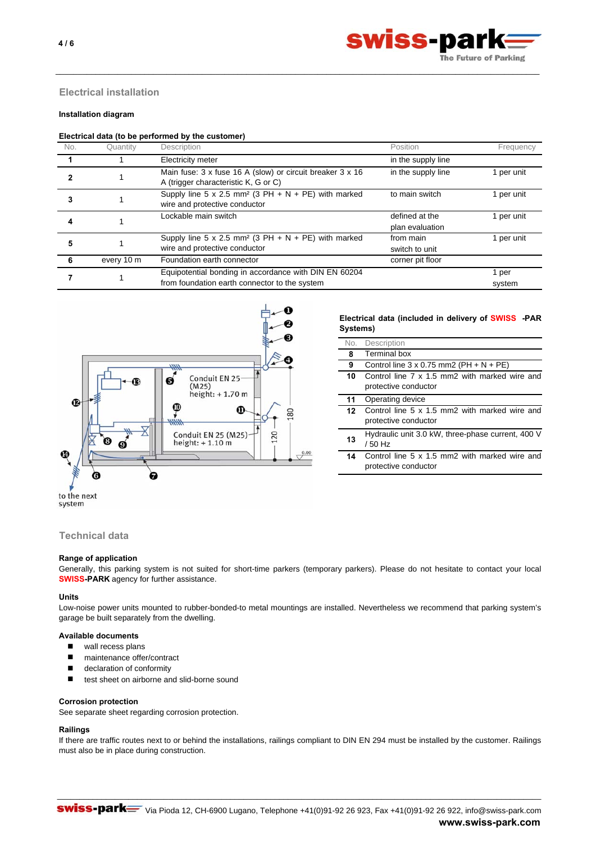

# **Electrical installation**

# **Installation diagram**

#### **Electrical data (to be performed by the customer)**

| No. | Quantity   | Description                                                                                            | Position                          | Frequency       |
|-----|------------|--------------------------------------------------------------------------------------------------------|-----------------------------------|-----------------|
|     |            | Electricity meter                                                                                      | in the supply line                |                 |
|     |            | Main fuse: 3 x fuse 16 A (slow) or circuit breaker 3 x 16<br>A (trigger characteristic K, G or C)      | in the supply line                | 1 per unit      |
| 3   |            | Supply line 5 x 2.5 mm <sup>2</sup> (3 PH + N + PE) with marked<br>wire and protective conductor       | to main switch                    | 1 per unit      |
|     |            | Lockable main switch                                                                                   | defined at the<br>plan evaluation | 1 per unit      |
|     |            | Supply line 5 x 2.5 mm <sup>2</sup> (3 PH + N + PE) with marked<br>wire and protective conductor       | from main<br>switch to unit       | 1 per unit      |
|     | every 10 m | Foundation earth connector                                                                             | corner pit floor                  |                 |
|     |            | Equipotential bonding in accordance with DIN EN 60204<br>from foundation earth connector to the system |                                   | 1 per<br>system |

\_\_\_\_\_\_\_\_\_\_\_\_\_\_\_\_\_\_\_\_\_\_\_\_\_\_\_\_\_\_\_\_\_\_\_\_\_\_\_\_\_\_\_\_\_\_\_\_\_\_\_\_\_\_\_\_\_\_\_\_\_\_\_\_\_\_\_\_\_\_\_\_\_\_\_\_\_\_\_\_\_\_\_\_\_\_\_\_\_\_\_\_\_\_\_\_\_\_\_\_\_\_\_\_\_\_\_\_\_



## **Electrical data (included in delivery of SWISS -PAR Systems)**

| Description                                                           |
|-----------------------------------------------------------------------|
| <b>Terminal box</b>                                                   |
| Control line $3 \times 0.75$ mm2 (PH + N + PE)                        |
| Control line 7 x 1.5 mm2 with marked wire and<br>protective conductor |
| Operating device                                                      |
| Control line 5 x 1.5 mm2 with marked wire and<br>protective conductor |
| Hydraulic unit 3.0 kW, three-phase current, 400 V<br>/ 50 Hz          |
| Control line 5 x 1.5 mm2 with marked wire and<br>protective conductor |
|                                                                       |

to the next system

# **Technical data**

## **Range of application**

Generally, this parking system is not suited for short-time parkers (temporary parkers). Please do not hesitate to contact your local **SWISS-PARK** agency for further assistance.

## **Units**

Low-noise power units mounted to rubber-bonded-to metal mountings are installed. Nevertheless we recommend that parking system's garage be built separately from the dwelling.

## **Available documents**

- wall recess plans
- maintenance offer/contract
- declaration of conformity
- test sheet on airborne and slid-borne sound

#### **Corrosion protection**

See separate sheet regarding corrosion protection.

# **Railings**

If there are traffic routes next to or behind the installations, railings compliant to DIN EN 294 must be installed by the customer. Railings must also be in place during construction.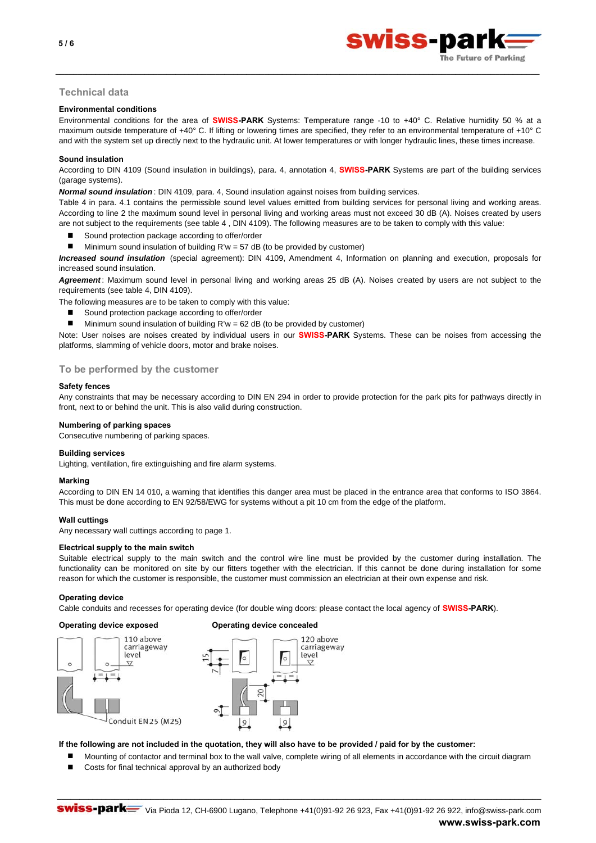

# **Technical data**

## **Environmental conditions**

Environmental conditions for the area of **SWISS-PARK** Systems: Temperature range -10 to +40° C. Relative humidity 50 % at a maximum outside temperature of +40° C. If lifting or lowering times are specified, they refer to an environmental temperature of +10° C and with the system set up directly next to the hydraulic unit. At lower temperatures or with longer hydraulic lines, these times increase.

\_\_\_\_\_\_\_\_\_\_\_\_\_\_\_\_\_\_\_\_\_\_\_\_\_\_\_\_\_\_\_\_\_\_\_\_\_\_\_\_\_\_\_\_\_\_\_\_\_\_\_\_\_\_\_\_\_\_\_\_\_\_\_\_\_\_\_\_\_\_\_\_\_\_\_\_\_\_\_\_\_\_\_\_\_\_\_\_\_\_\_\_\_\_\_\_\_\_\_\_\_\_\_\_\_\_\_\_\_

## **Sound insulation**

According to DIN 4109 (Sound insulation in buildings), para. 4, annotation 4, **SWISS-PARK** Systems are part of the building services (garage systems).

*Normal sound insulation* : DIN 4109, para. 4, Sound insulation against noises from building services.

Table 4 in para. 4.1 contains the permissible sound level values emitted from building services for personal living and working areas. According to line 2 the maximum sound level in personal living and working areas must not exceed 30 dB (A). Noises created by users are not subject to the requirements (see table 4 , DIN 4109). The following measures are to be taken to comply with this value:

- Sound protection package according to offer/order
- Minimum sound insulation of building R'w = 57 dB (to be provided by customer)

*Increased sound insulation* (special agreement): DIN 4109, Amendment 4, Information on planning and execution, proposals for increased sound insulation.

*Agreement* : Maximum sound level in personal living and working areas 25 dB (A). Noises created by users are not subject to the requirements (see table 4, DIN 4109).

The following measures are to be taken to comply with this value:

- Sound protection package according to offer/order
- **Minimum sound insulation of building R'w = 62 dB (to be provided by customer)**

Note: User noises are noises created by individual users in our **SWISS-PARK** Systems. These can be noises from accessing the platforms, slamming of vehicle doors, motor and brake noises.

## **To be performed by the customer**

## **Safety fences**

Any constraints that may be necessary according to DIN EN 294 in order to provide protection for the park pits for pathways directly in front, next to or behind the unit. This is also valid during construction.

## **Numbering of parking spaces**

Consecutive numbering of parking spaces.

# **Building services**

Lighting, ventilation, fire extinguishing and fire alarm systems.

## **Marking**

According to DIN EN 14 010, a warning that identifies this danger area must be placed in the entrance area that conforms to ISO 3864. This must be done according to EN 92/58/EWG for systems without a pit 10 cm from the edge of the platform.

## **Wall cuttings**

Any necessary wall cuttings according to page 1.

## **Electrical supply to the main switch**

Suitable electrical supply to the main switch and the control wire line must be provided by the customer during installation. The functionality can be monitored on site by our fitters together with the electrician. If this cannot be done during installation for some reason for which the customer is responsible, the customer must commission an electrician at their own expense and risk.

## **Operating device**

Cable conduits and recesses for operating device (for double wing doors: please contact the local agency of **SWISS-PARK**).



#### **Operating device exposed Operating device concealed**



## **If the following are not included in the quotation, they will also have to be provided / paid for by the customer:**

Mounting of contactor and terminal box to the wall valve, complete wiring of all elements in accordance with the circuit diagram

\_\_\_\_\_\_\_\_\_\_\_\_\_\_\_\_\_\_\_\_\_\_\_\_\_\_\_\_\_\_\_\_\_\_\_\_\_\_\_\_\_\_\_\_\_\_\_\_\_\_\_\_\_\_\_\_\_\_\_\_\_\_\_\_\_\_\_\_\_\_\_\_\_\_\_\_\_\_\_\_\_\_\_\_\_\_\_\_\_\_\_\_\_\_\_\_\_\_\_\_\_\_\_\_\_\_\_\_\_

Costs for final technical approval by an authorized body